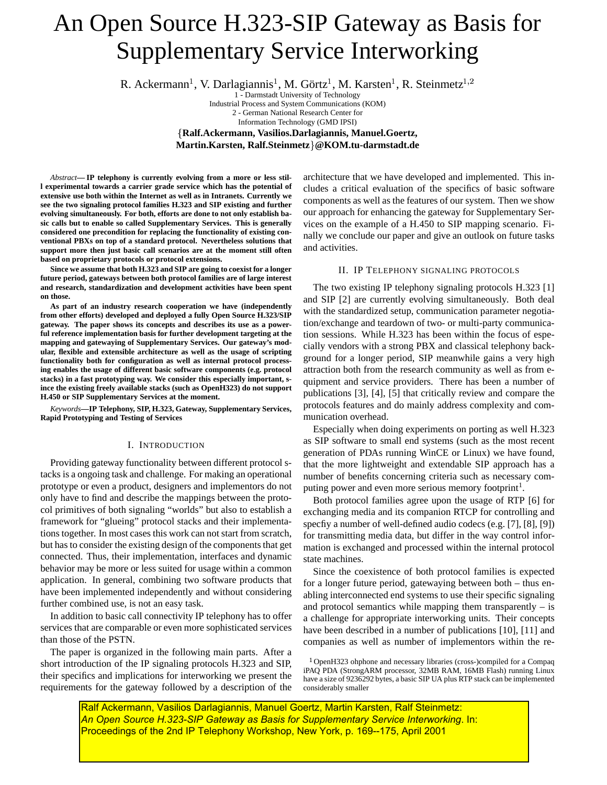# An Open Source H.323-SIP Gateway as Basis for Supplementary Service Interworking

R. Ackermann<sup>1</sup>, V. Darlagiannis<sup>1</sup>, M. Görtz<sup>1</sup>, M. Karsten<sup>1</sup>, R. Steinmetz<sup>1,2</sup>

1 - Darmstadt University of Technology Industrial Process and System Communications (KOM) 2 - German National Research Center for Information Technology (GMD IPSI)

 **Ralf.Ackermann, Vasilios.Darlagiannis, Manuel.Goertz, Martin.Karsten, Ralf.Steinmetz @KOM.tu-darmstadt.de**

*Abstract***— IP telephony is currently evolving from a more or less still experimental towards a carrier grade service which has the potential of extensive use both within the Internet as well as in Intranets. Currently we see the two signaling protocol families H.323 and SIP existing and further evolving simultaneously. For both, efforts are done to not only establish basic calls but to enable so called Supplementary Services. This is generally considered one precondition for replacing the functionality of existing conventional PBXs on top of a standard protocol. Nevertheless solutions that support more then just basic call scenarios are at the moment still often based on proprietary protocols or protocol extensions.**

**Since we assume that both H.323 and SIP are going to coexist for a longer future period, gateways between both protocol families are of large interest and research, standardization and development activities have been spent on those.**

**As part of an industry research cooperation we have (independently from other efforts) developed and deployed a fully Open Source H.323/SIP gateway. The paper shows its concepts and describes its use as a powerful reference implementation basis for further development targeting at the mapping and gatewaying of Supplementary Services. Our gateway's modular, flexible and extensible architecture as well as the usage of scripting functionality both for configuration as well as internal protocol processing enables the usage of different basic software components (e.g. protocol stacks) in a fast prototyping way. We consider this especially important, since the existing freely available stacks (such as OpenH323) do not support H.450 or SIP Supplementary Services at the moment.**

*Keywords***—IP Telephony, SIP, H.323, Gateway, Supplementary Services, Rapid Prototyping and Testing of Services**

## I. INTRODUCTION

Providing gateway functionality between different protocol stacks is a ongoing task and challenge. For making an operational prototype or even a product, designers and implementors do not only have to find and describe the mappings between the protocol primitives of both signaling "worlds" but also to establish a framework for "glueing" protocol stacks and their implementations together. In most cases this work can not start from scratch, but has to consider the existing design of the components that get connected. Thus, their implementation, interfaces and dynamic behavior may be more or less suited for usage within a common application. In general, combining two software products that have been implemented independently and without considering further combined use, is not an easy task.

In addition to basic call connectivity IP telephony has to offer services that are comparable or even more sophisticated services than those of the PSTN.

The paper is organized in the following main parts. After a short introduction of the IP signaling protocols H.323 and SIP, their specifics and implications for interworking we present the requirements for the gateway followed by a description of the

architecture that we have developed and implemented. This includes a critical evaluation of the specifics of basic software components as well as the features of our system. Then we show our approach for enhancing the gateway for Supplementary Services on the example of a H.450 to SIP mapping scenario. Finally we conclude our paper and give an outlook on future tasks and activities.

# II. IP TELEPHONY SIGNALING PROTOCOLS

The two existing IP telephony signaling protocols H.323 [1] and SIP [2] are currently evolving simultaneously. Both deal with the standardized setup, communication parameter negotiation/exchange and teardown of two- or multi-party communication sessions. While H.323 has been within the focus of especially vendors with a strong PBX and classical telephony background for a longer period, SIP meanwhile gains a very high attraction both from the research community as well as from equipment and service providers. There has been a number of publications [3], [4], [5] that critically review and compare the protocols features and do mainly address complexity and communication overhead.

Especially when doing experiments on porting as well H.323 as SIP software to small end systems (such as the most recent generation of PDAs running WinCE or Linux) we have found, that the more lightweight and extendable SIP approach has a number of benefits concerning criteria such as necessary computing power and even more serious memory footprint<sup>1</sup>.

Both protocol families agree upon the usage of RTP [6] for exchanging media and its companion RTCP for controlling and specfiy a number of well-defined audio codecs (e.g. [7], [8], [9]) for transmitting media data, but differ in the way control information is exchanged and processed within the internal protocol state machines.

Since the coexistence of both protocol families is expected for a longer future period, gatewaying between both – thus enabling interconnected end systems to use their specific signaling and protocol semantics while mapping them transparently – is a challenge for appropriate interworking units. Their concepts have been described in a number of publications [10], [11] and companies as well as number of implementors within the re-

 $1$ OpenH323 ohphone and necessary libraries (cross-)compiled for a Compaq iPAQ PDA (StrongARM processor, 32MB RAM, 16MB Flash) running Linux have a size of 9236292 bytes, a basic SIP UA plus RTP stack can be implemented considerably smaller

Ralf Ackermann, Vasilios Darlagiannis, Manuel Goertz, Martin Karsten, Ralf Steinmetz: *An Open Source H.323-SIP Gateway as Basis for Supplementary Service Interworking*. In: Proceedings of the 2nd IP Telephony Workshop, New York, p. 169--175, April 2001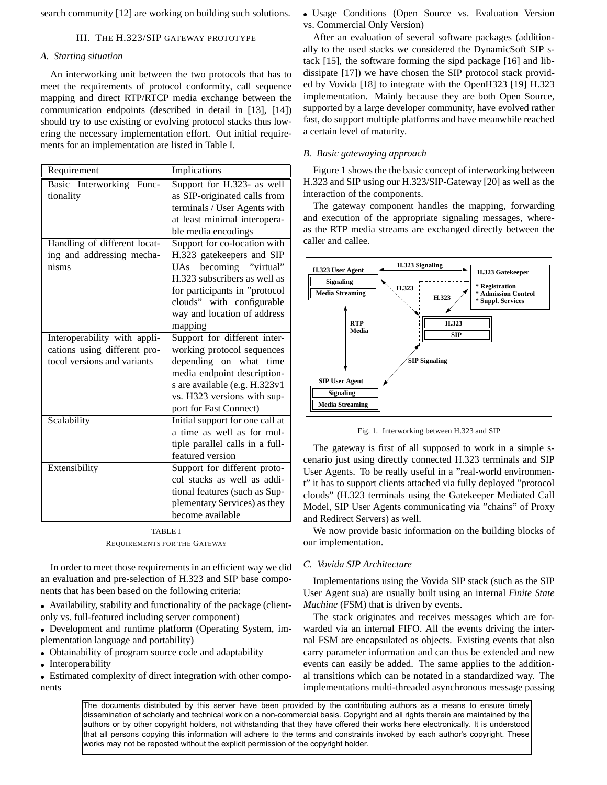search community [12] are working on building such solutions.

## III. THE H.323/SIP GATEWAY PROTOTYPE

## *A. Starting situation*

An interworking unit between the two protocols that has to meet the requirements of protocol conformity, call sequence mapping and direct RTP/RTCP media exchange between the communication endpoints (described in detail in [13], [14]) should try to use existing or evolving protocol stacks thus lowering the necessary implementation effort. Out initial requirements for an implementation are listed in Table I.

| Requirement                  | Implications                    |
|------------------------------|---------------------------------|
| Basic Interworking<br>Func-  | Support for H.323- as well      |
| tionality                    | as SIP-originated calls from    |
|                              | terminals / User Agents with    |
|                              | at least minimal interopera-    |
|                              | ble media encodings             |
| Handling of different locat- | Support for co-location with    |
| ing and addressing mecha-    | H.323 gatekeepers and SIP       |
| nisms                        | UAs becoming "virtual"          |
|                              | H.323 subscribers as well as    |
|                              | for participants in "protocol   |
|                              | clouds" with configurable       |
|                              | way and location of address     |
|                              | mapping                         |
| Interoperability with appli- | Support for different inter-    |
| cations using different pro- | working protocol sequences      |
| tocol versions and variants  | depending on what<br>time       |
|                              | media endpoint description-     |
|                              | s are available (e.g. H.323v1   |
|                              | vs. H323 versions with sup-     |
|                              | port for Fast Connect)          |
| Scalability                  | Initial support for one call at |
|                              | a time as well as for mul-      |
|                              | tiple parallel calls in a full- |
|                              | featured version                |
| Extensibility                | Support for different proto-    |
|                              | col stacks as well as addi-     |
|                              | tional features (such as Sup-   |
|                              | plementary Services) as they    |
|                              | become available                |

TABLE I REQUIREMENTS FOR THE GATEWAY

In order to meet those requirements in an efficient way we did an evaluation and pre-selection of H.323 and SIP base components that has been based on the following criteria:

 Availability, stability and functionality of the package (clientonly vs. full-featured including server component)

 Development and runtime platform (Operating System, implementation language and portability)

Obtainability of program source code and adaptability

• Interoperability

 Estimated complexity of direct integration with other components

 Usage Conditions (Open Source vs. Evaluation Version vs. Commercial Only Version)

After an evaluation of several software packages (additionally to the used stacks we considered the DynamicSoft SIP stack [15], the software forming the sipd package [16] and libdissipate [17]) we have chosen the SIP protocol stack provided by Vovida [18] to integrate with the OpenH323 [19] H.323 implementation. Mainly because they are both Open Source, supported by a large developer community, have evolved rather fast, do support multiple platforms and have meanwhile reached a certain level of maturity.

## *B. Basic gatewaying approach*

Figure 1 shows the the basic concept of interworking between H.323 and SIP using our H.323/SIP-Gateway [20] as well as the interaction of the components.

The gateway component handles the mapping, forwarding and execution of the appropriate signaling messages, whereas the RTP media streams are exchanged directly between the caller and callee.



Fig. 1. Interworking between H.323 and SIP

The gateway is first of all supposed to work in a simple scenario just using directly connected H.323 terminals and SIP User Agents. To be really useful in a "real-world environment" it has to support clients attached via fully deployed "protocol clouds" (H.323 terminals using the Gatekeeper Mediated Call Model, SIP User Agents communicating via "chains" of Proxy and Redirect Servers) as well.

We now provide basic information on the building blocks of our implementation.

## *C. Vovida SIP Architecture*

Implementations using the Vovida SIP stack (such as the SIP User Agent sua) are usually built using an internal *Finite State Machine* (FSM) that is driven by events.

The stack originates and receives messages which are forwarded via an internal FIFO. All the events driving the internal FSM are encapsulated as objects. Existing events that also carry parameter information and can thus be extended and new events can easily be added. The same applies to the additional transitions which can be notated in a standardized way. The implementations multi-threaded asynchronous message passing

The documents distributed by this server have been provided by the contributing authors as a means to ensure timely dissemination of scholarly and technical work on a non-commercial basis. Copyright and all rights therein are maintained by the authors or by other copyright holders, not withstanding that they have offered their works here electronically. It is understood that all persons copying this information will adhere to the terms and constraints invoked by each author's copyright. These works may not be reposted without the explicit permission of the copyright holder.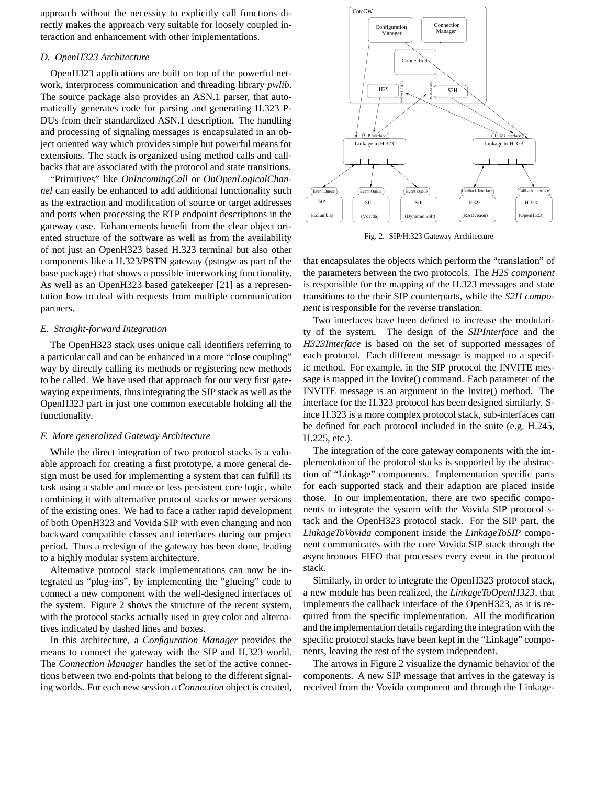approach without the necessity to explicitly call functions directly makes the approach very suitable for loosely coupled interaction and enhancement with other implementations.

## *D. OpenH323 Architecture*

OpenH323 applications are built on top of the powerful network, interprocess communication and threading library *pwlib*. The source package also provides an ASN.1 parser, that automatically generates code for parsing and generating H.323 P-DUs from their standardized ASN.1 description. The handling and processing of signaling messages is encapsulated in an object oriented way which provides simple but powerful means for extensions. The stack is organized using method calls and callbacks that are associated with the protocol and state transitions.

"Primitives" like *OnIncomingCall* or *OnOpenLogicalChannel* can easily be enhanced to add additional functionality such as the extraction and modification of source or target addresses and ports when processing the RTP endpoint descriptions in the gateway case. Enhancements benefit from the clear object oriented structure of the software as well as from the availability of not just an OpenH323 based H.323 terminal but also other components like a H.323/PSTN gateway (pstngw as part of the base package) that shows a possible interworking functionality. As well as an OpenH323 based gatekeeper [21] as a representation how to deal with requests from multiple communication partners.

#### *E. Straight-forward Integration*

The OpenH323 stack uses unique call identifiers referring to a particular call and can be enhanced in a more "close coupling" way by directly calling its methods or registering new methods to be called. We have used that approach for our very first gatewaying experiments, thus integrating the SIP stack as well as the OpenH323 part in just one common executable holding all the functionality.

## *F. More generalized Gateway Architecture*

While the direct integration of two protocol stacks is a valuable approach for creating a first prototype, a more general design must be used for implementing a system that can fulfill its task using a stable and more or less persistent core logic, while combining it with alternative protocol stacks or newer versions of the existing ones. We had to face a rather rapid development of both OpenH323 and Vovida SIP with even changing and non backward compatible classes and interfaces during our project period. Thus a redesign of the gateway has been done, leading to a highly modular system architecture.

Alternative protocol stack implementations can now be integrated as "plug-ins", by implementing the "glueing" code to connect a new component with the well-designed interfaces of the system. Figure 2 shows the structure of the recent system, with the protocol stacks actually used in grey color and alternatives indicated by dashed lines and boxes.

In this architecture, a *Configuration Manager* provides the means to connect the gateway with the SIP and H.323 world. The *Connection Manager* handles the set of the active connections between two end-points that belong to the different signaling worlds. For each new session a *Connection* object is created,



Fig. 2. SIP/H.323 Gateway Architecture

that encapsulates the objects which perform the "translation" of the parameters between the two protocols. The *H2S component* is responsible for the mapping of the H.323 messages and state transitions to the their SIP counterparts, while the *S2H component* is responsible for the reverse translation.

Two interfaces have been defined to increase the modularity of the system. The design of the *SIPInterface* and the *H323Interface* is based on the set of supported messages of each protocol. Each different message is mapped to a specific method. For example, in the SIP protocol the INVITE message is mapped in the Invite() command. Each parameter of the INVITE message is an argument in the Invite() method. The interface for the H.323 protocol has been designed similarly. Since H.323 is a more complex protocol stack, sub-interfaces can be defined for each protocol included in the suite (e.g. H.245, H.225, etc.).

The integration of the core gateway components with the implementation of the protocol stacks is supported by the abstraction of "Linkage" components. Implementation specific parts for each supported stack and their adaption are placed inside those. In our implementation, there are two specific components to integrate the system with the Vovida SIP protocol stack and the OpenH323 protocol stack. For the SIP part, the *LinkageToVovida* component inside the *LinkageToSIP* component communicates with the core Vovida SIP stack through the asynchronous FIFO that processes every event in the protocol stack.

Similarly, in order to integrate the OpenH323 protocol stack, a new module has been realized, the *LinkageToOpenH323*, that implements the callback interface of the OpenH323, as it is required from the specific implementation. All the modification and the implementation details regarding the integration with the specific protocol stacks have been kept in the "Linkage" components, leaving the rest of the system independent.

The arrows in Figure 2 visualize the dynamic behavior of the components. A new SIP message that arrives in the gateway is received from the Vovida component and through the Linkage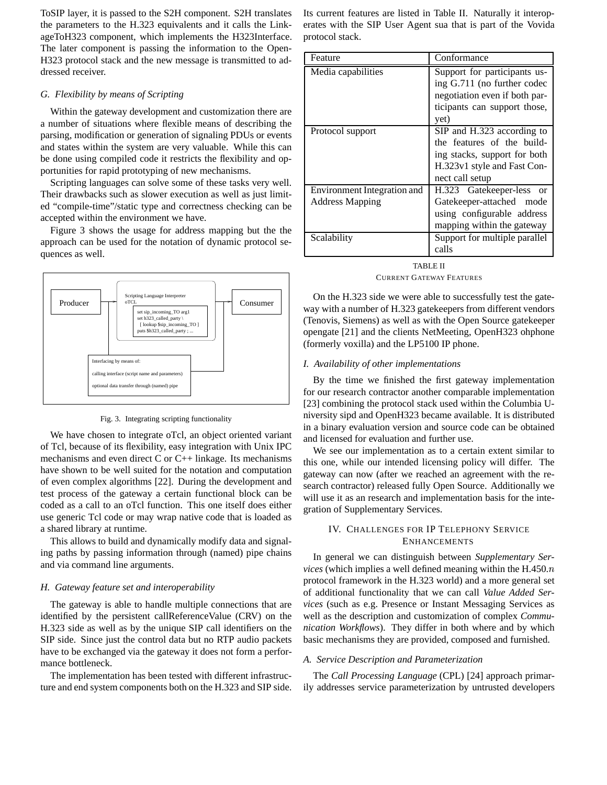ToSIP layer, it is passed to the S2H component. S2H translates the parameters to the H.323 equivalents and it calls the LinkageToH323 component, which implements the H323Interface. The later component is passing the information to the Open-H323 protocol stack and the new message is transmitted to addressed receiver.

## *G. Flexibility by means of Scripting*

Within the gateway development and customization there are a number of situations where flexible means of describing the parsing, modification or generation of signaling PDUs or events and states within the system are very valuable. While this can be done using compiled code it restricts the flexibility and opportunities for rapid prototyping of new mechanisms.

Scripting languages can solve some of these tasks very well. Their drawbacks such as slower execution as well as just limited "compile-time"/static type and correctness checking can be accepted within the environment we have.

Figure 3 shows the usage for address mapping but the the approach can be used for the notation of dynamic protocol sequences as well.



Fig. 3. Integrating scripting functionality

We have chosen to integrate oTcl, an object oriented variant of Tcl, because of its flexibility, easy integration with Unix IPC mechanisms and even direct  $C$  or  $C_{++}$  linkage. Its mechanisms have shown to be well suited for the notation and computation of even complex algorithms [22]. During the development and test process of the gateway a certain functional block can be coded as a call to an oTcl function. This one itself does either use generic Tcl code or may wrap native code that is loaded as a shared library at runtime.

This allows to build and dynamically modify data and signaling paths by passing information through (named) pipe chains and via command line arguments.

## *H. Gateway feature set and interoperability*

The gateway is able to handle multiple connections that are identified by the persistent callReferenceValue (CRV) on the H.323 side as well as by the unique SIP call identifiers on the SIP side. Since just the control data but no RTP audio packets have to be exchanged via the gateway it does not form a performance bottleneck.

The implementation has been tested with different infrastructure and end system components both on the H.323 and SIP side. Its current features are listed in Table II. Naturally it interoperates with the SIP User Agent sua that is part of the Vovida protocol stack.

| Feature                            | Conformance                                                                                                                                |
|------------------------------------|--------------------------------------------------------------------------------------------------------------------------------------------|
| Media capabilities                 | Support for participants us-<br>ing G.711 (no further codec<br>negotiation even if both par-<br>ticipants can support those,<br>yet)       |
| Protocol support                   | SIP and H.323 according to<br>the features of the build-<br>ing stacks, support for both<br>H.323v1 style and Fast Con-<br>nect call setup |
| <b>Environment Integration and</b> | H.323 Gatekeeper-less<br><b>or</b>                                                                                                         |
| <b>Address Mapping</b>             | Gatekeeper-attached<br>mode<br>using configurable address<br>mapping within the gateway                                                    |
| Scalability                        | Support for multiple parallel<br>calls                                                                                                     |

TABLE II CURRENT GATEWAY FEATURES

On the H.323 side we were able to successfully test the gateway with a number of H.323 gatekeepers from different vendors (Tenovis, Siemens) as well as with the Open Source gatekeeper opengate [21] and the clients NetMeeting, OpenH323 ohphone (formerly voxilla) and the LP5100 IP phone.

# *I. Availability of other implementations*

By the time we finished the first gateway implementation for our research contractor another comparable implementation [23] combining the protocol stack used within the Columbia University sipd and OpenH323 became available. It is distributed in a binary evaluation version and source code can be obtained and licensed for evaluation and further use.

We see our implementation as to a certain extent similar to this one, while our intended licensing policy will differ. The gateway can now (after we reached an agreement with the research contractor) released fully Open Source. Additionally we will use it as an research and implementation basis for the integration of Supplementary Services.

# IV. CHALLENGES FOR IP TELEPHONY SERVICE ENHANCEMENTS

In general we can distinguish between *Supplementary Services* (which implies a well defined meaning within the H.450. protocol framework in the H.323 world) and a more general set of additional functionality that we can call *Value Added Services* (such as e.g. Presence or Instant Messaging Services as well as the description and customization of complex *Communication Workflows*). They differ in both where and by which basic mechanisms they are provided, composed and furnished.

## *A. Service Description and Parameterization*

The *Call Processing Language* (CPL) [24] approach primarily addresses service parameterization by untrusted developers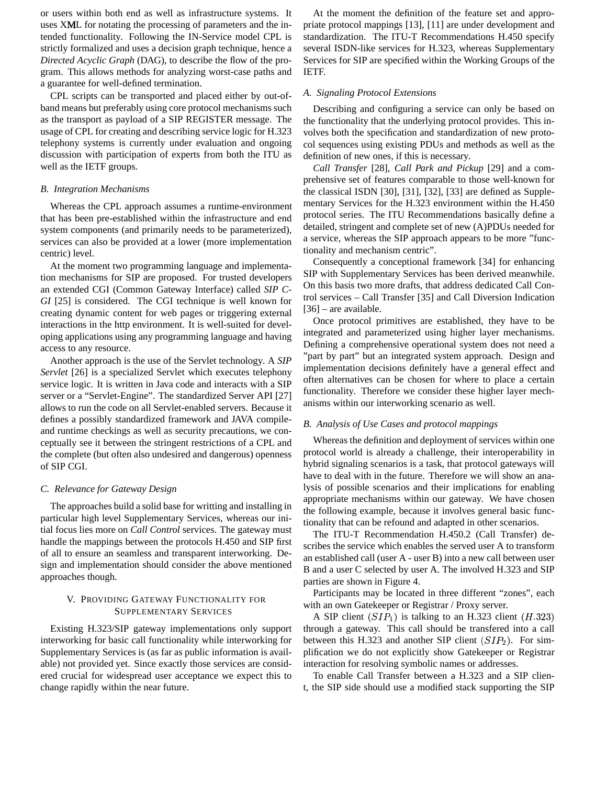or users within both end as well as infrastructure systems. It uses XML for notating the processing of parameters and the intended functionality. Following the IN-Service model CPL is strictly formalized and uses a decision graph technique, hence a *Directed Acyclic Graph* (DAG), to describe the flow of the program. This allows methods for analyzing worst-case paths and a guarantee for well-defined termination.

CPL scripts can be transported and placed either by out-ofband means but preferably using core protocol mechanisms such as the transport as payload of a SIP REGISTER message. The usage of CPL for creating and describing service logic for H.323 telephony systems is currently under evaluation and ongoing discussion with participation of experts from both the ITU as well as the IETF groups.

## *B. Integration Mechanisms*

Whereas the CPL approach assumes a runtime-environment that has been pre-established within the infrastructure and end system components (and primarily needs to be parameterized), services can also be provided at a lower (more implementation centric) level.

At the moment two programming language and implementation mechanisms for SIP are proposed. For trusted developers an extended CGI (Common Gateway Interface) called *SIP C-GI* [25] is considered. The CGI technique is well known for creating dynamic content for web pages or triggering external interactions in the http environment. It is well-suited for developing applications using any programming language and having access to any resource.

Another approach is the use of the Servlet technology. A *SIP Servlet* [26] is a specialized Servlet which executes telephony service logic. It is written in Java code and interacts with a SIP server or a "Servlet-Engine". The standardized Server API [27] allows to run the code on all Servlet-enabled servers. Because it defines a possibly standardized framework and JAVA compileand runtime checkings as well as security precautions, we conceptually see it between the stringent restrictions of a CPL and the complete (but often also undesired and dangerous) openness of SIP CGI.

#### *C. Relevance for Gateway Design*

The approaches build a solid base for writting and installing in particular high level Supplementary Services, whereas our initial focus lies more on *Call Control* services. The gateway must handle the mappings between the protocols H.450 and SIP first of all to ensure an seamless and transparent interworking. Design and implementation should consider the above mentioned approaches though.

## V. PROVIDING GATEWAY FUNCTIONALITY FOR SUPPLEMENTARY SERVICES

Existing H.323/SIP gateway implementations only support interworking for basic call functionality while interworking for Supplementary Services is (as far as public information is available) not provided yet. Since exactly those services are considered crucial for widespread user acceptance we expect this to change rapidly within the near future.

At the moment the definition of the feature set and appropriate protocol mappings [13], [11] are under development and standardization. The ITU-T Recommendations H.450 specify several ISDN-like services for H.323, whereas Supplementary Services for SIP are specified within the Working Groups of the IETF.

## *A. Signaling Protocol Extensions*

Describing and configuring a service can only be based on the functionality that the underlying protocol provides. This involves both the specification and standardization of new protocol sequences using existing PDUs and methods as well as the definition of new ones, if this is necessary.

*Call Transfer* [28], *Call Park and Pickup* [29] and a comprehensive set of features comparable to those well-known for the classical ISDN [30], [31], [32], [33] are defined as Supplementary Services for the H.323 environment within the H.450 protocol series. The ITU Recommendations basically define a detailed, stringent and complete set of new (A)PDUs needed for a service, whereas the SIP approach appears to be more "functionality and mechanism centric".

Consequently a conceptional framework [34] for enhancing SIP with Supplementary Services has been derived meanwhile. On this basis two more drafts, that address dedicated Call Control services – Call Transfer [35] and Call Diversion Indication [36] – are available.

Once protocol primitives are established, they have to be integrated and parameterized using higher layer mechanisms. Defining a comprehensive operational system does not need a "part by part" but an integrated system approach. Design and implementation decisions definitely have a general effect and often alternatives can be chosen for where to place a certain functionality. Therefore we consider these higher layer mechanisms within our interworking scenario as well.

## *B. Analysis of Use Cases and protocol mappings*

Whereas the definition and deployment of services within one protocol world is already a challenge, their interoperability in hybrid signaling scenarios is a task, that protocol gateways will have to deal with in the future. Therefore we will show an analysis of possible scenarios and their implications for enabling appropriate mechanisms within our gateway. We have chosen the following example, because it involves general basic functionality that can be refound and adapted in other scenarios.

The ITU-T Recommendation H.450.2 (Call Transfer) describes the service which enables the served user A to transform an established call (user A - user B) into a new call between user B and a user C selected by user A. The involved H.323 and SIP parties are shown in Figure 4.

Participants may be located in three different "zones", each with an own Gatekeeper or Registrar / Proxy server.

A SIP client  $(SIP_1)$  is talking to an H.323 client  $(H.323)$ through a gateway. This call should be transfered into a call between this H.323 and another SIP client  $(SIP_2)$ . For simplification we do not explicitly show Gatekeeper or Registrar interaction for resolving symbolic names or addresses.

To enable Call Transfer between a H.323 and a SIP client, the SIP side should use a modified stack supporting the SIP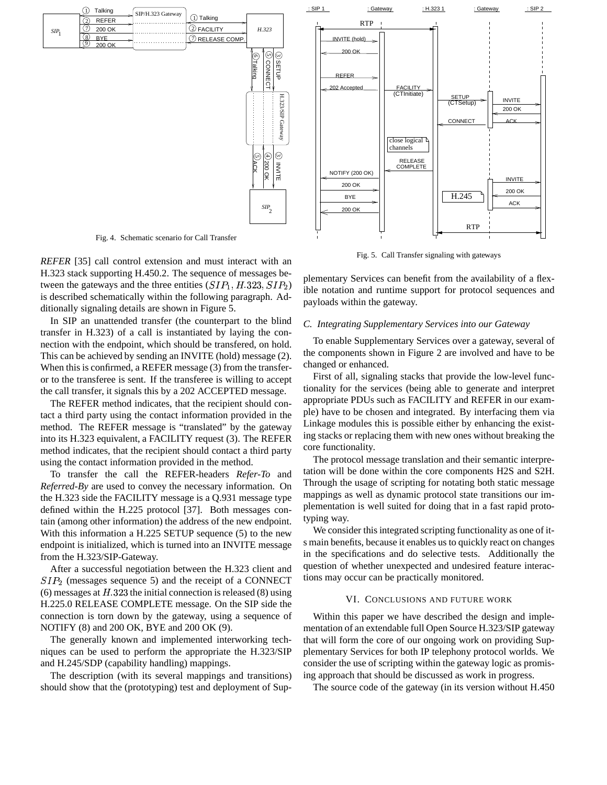

Fig. 4. Schematic scenario for Call Transfer

*REFER* [35] call control extension and must interact with an H.323 stack supporting H.450.2. The sequence of messages between the gateways and the three entities  $(SIP_1, H.323, SIP_2)$ is described schematically within the following paragraph. Additionally signaling details are shown in Figure 5.

In SIP an unattended transfer (the counterpart to the blind transfer in H.323) of a call is instantiated by laying the connection with the endpoint, which should be transfered, on hold. This can be achieved by sending an INVITE (hold) message (2). When this is confirmed, a REFER message (3) from the transferor to the transferee is sent. If the transferee is willing to accept the call transfer, it signals this by a 202 ACCEPTED message.

The REFER method indicates, that the recipient should contact a third party using the contact information provided in the method. The REFER message is "translated" by the gateway into its H.323 equivalent, a FACILITY request (3). The REFER method indicates, that the recipient should contact a third party using the contact information provided in the method.

To transfer the call the REFER-headers *Refer-To* and *Referred-By* are used to convey the necessary information. On the H.323 side the FACILITY message is a Q.931 message type defined within the H.225 protocol [37]. Both messages contain (among other information) the address of the new endpoint. With this information a H.225 SETUP sequence (5) to the new endpoint is initialized, which is turned into an INVITE message from the H.323/SIP-Gateway.

After a successful negotiation between the H.323 client and  $SIP<sub>2</sub>$  (messages sequence 5) and the receipt of a CONNECT (6) messages at  $H.323$  the initial connection is released (8) using H.225.0 RELEASE COMPLETE message. On the SIP side the connection is torn down by the gateway, using a sequence of NOTIFY (8) and 200 OK, BYE and 200 OK (9).

The generally known and implemented interworking techniques can be used to perform the appropriate the H.323/SIP and H.245/SDP (capability handling) mappings.

The description (with its several mappings and transitions) should show that the (prototyping) test and deployment of Sup-



Fig. 5. Call Transfer signaling with gateways

plementary Services can benefit from the availability of a flexible notation and runtime support for protocol sequences and payloads within the gateway.

#### *C. Integrating Supplementary Services into our Gateway*

To enable Supplementary Services over a gateway, several of the components shown in Figure 2 are involved and have to be changed or enhanced.

First of all, signaling stacks that provide the low-level functionality for the services (being able to generate and interpret appropriate PDUs such as FACILITY and REFER in our example) have to be chosen and integrated. By interfacing them via Linkage modules this is possible either by enhancing the existing stacks or replacing them with new ones without breaking the core functionality.

The protocol message translation and their semantic interpretation will be done within the core components H2S and S2H. Through the usage of scripting for notating both static message mappings as well as dynamic protocol state transitions our implementation is well suited for doing that in a fast rapid prototyping way.

We consider this integrated scripting functionality as one of its main benefits, because it enables us to quickly react on changes in the specifications and do selective tests. Additionally the question of whether unexpected and undesired feature interactions may occur can be practically monitored.

## VI. CONCLUSIONS AND FUTURE WORK

Within this paper we have described the design and implementation of an extendable full Open Source H.323/SIP gateway that will form the core of our ongoing work on providing Supplementary Services for both IP telephony protocol worlds. We consider the use of scripting within the gateway logic as promising approach that should be discussed as work in progress.

The source code of the gateway (in its version without H.450